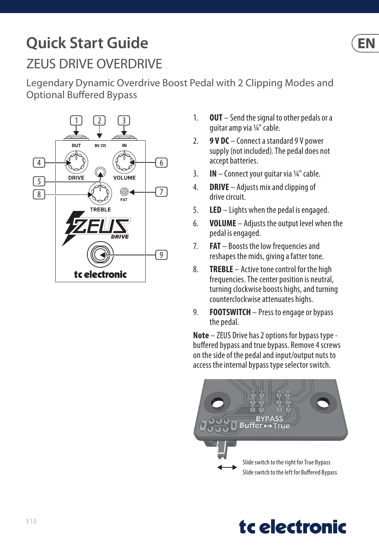## **Quick Start Guide** ZEUS DRIVE OVERDRIVE

Legendary Dynamic Overdrive Boost Pedal with 2 Clipping Modes and Optional Buffered Bypass



- 1. **OUT** Send the signal to other pedals or a guitar amp via ¼" cable.
- 2. **9 V DC** Connect a standard 9 V power supply (not included). The pedal does not accept batteries.
- 3. **IN** Connect your guitar via ¼" cable.
- 4. **DRIVE** Adjusts mix and clipping of drive circuit.
- 5. **LED** Lights when the pedal is engaged.
- 6. **VOLUME** Adjusts the output level when the pedal is engaged.
- 7. **FAT** Boosts the low frequencies and reshapes the mids, giving a fatter tone.
- 8. **TREBLE** Active tone control for the high frequencies. The center position is neutral, turning clockwise boosts highs, and turning counterclockwise attenuates highs.
- 9. **FOOTSWITCH** Press to engage or bypass the pedal.

**Note** – ZEUS Drive has 2 options for bypass type buffered bypass and true bypass. Remove 4 screws on the side of the pedal and input/output nuts to access the internal bypass type selector switch.





EN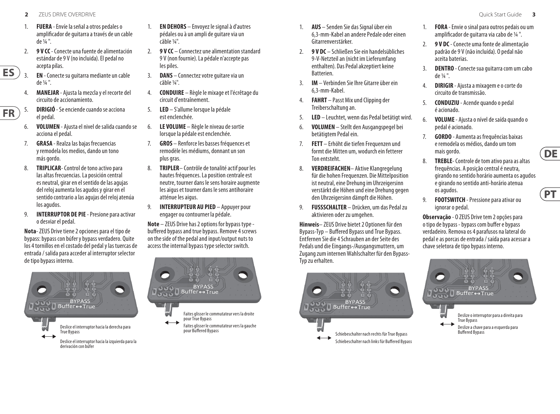**2** ZEUS DRIVE OVERDRIVE Quick Start Guide **3**

**ES** 

**FR** 

- 1. **FUERA** Envíe la señal a otros pedales o amplificador de guitarra a través de un cable de ¼ ".
- 2. **9 V CC** Conecte una fuente de alimentación estándar de 9 V (no incluida). El pedal no acepta pilas.
- 3. **EN** Conecte su guitarra mediante un cable de ¼ ".
- 4. **MANEJAR** Ajusta la mezcla y el recorte del circuito de accionamiento.
- 5. **DIRIGIÓ** Se enciende cuando se acciona el pedal.
- 6. **VOLUMEN** Ajusta el nivel de salida cuando se acciona el pedal.
- 7. **GRASA** Realza las bajas frecuencias y remodela los medios, dando un tono más gordo.
- 8. **TRIPLICAR** Control de tono activo para las altas frecuencias. La posición central es neutral, girar en el sentido de las agujas del reloj aumenta los agudos y girar en el sentido contrario a las agujas del reloj atenúa los agudos.
- 9. **INTERRUPTOR DE PIE**  Presione para activar o desviar el pedal.

**Nota**- ZEUS Drive tiene 2 opciones para el tipo de bypass: bypass con búfer y bypass verdadero. Quite los 4 tornillos en el costado del pedal y las tuercas de entrada / salida para acceder al interruptor selector de tipo bypass interno.



derivación con búfer

- 1. **EN DEHORS**  Envoyez le signal à d'autres pédales ou à un ampli de guitare via un câble ¼".
- 2. **9 V CC** Connectez une alimentation standard 9 V (non fournie). La pédale n'accepte pas les piles.
- 3. **DANS** Connectez votre guitare via un câble ¼".
- 4. **CONDUIRE** Règle le mixage et l'écrêtage du circuit d'entraînement.
- 5. **LED** S'allume lorsque la pédale est enclenchée.
- 6. **LE VOLUME** Règle le niveau de sortie lorsque la pédale est enclenchée.
- 7. **GROS** Renforce les basses fréquences et remodèle les médiums, donnant un son plus gras.
- 8. **TRIPLER** Contrôle de tonalité actif pour les hautes fréquences. La position centrale est neutre, tourner dans le sens horaire augmente les aigus et tourner dans le sens antihoraire atténue les aigus.
- 9. **INTERRUPTEUR AU PIED** Appuyer pour engager ou contourner la pédale.

**Note** – ZEUS Drive has 2 options for bypass type buffered bypass and true bypass. Remove 4 screws on the side of the pedal and input/output nuts to access the internal bypass type selector switch.



- 1. **AUS** Senden Sie das Signal über ein 6,3-mm-Kabel an andere Pedale oder einen Gitarrenverstärker.
- 2. **9 V DC**  Schließen Sie ein handelsübliches 9-V-Netzteil an (nicht im Lieferumfang enthalten). Das Pedal akzeptiert keine Batterien.
- 3. **IM** Verbinden Sie Ihre Gitarre über ein 6,3-mm-Kabel.
- 4. **FAHRT** Passt Mix und Clipping der Treiberschaltung an.
- 5. **LED** Leuchtet, wenn das Pedal betätigt wird.
- 6. **VOLUMEN** Stellt den Ausgangspegel bei betätigtem Pedal ein.
- 7. **FETT** Erhöht die tiefen Frequenzen und formt die Mitten um, wodurch ein fetterer Ton entsteht.
- 8. **VERDREIFACHEN** Aktive Klangregelung für die hohen Frequenzen. Die Mittelposition ist neutral, eine Drehung im Uhrzeigersinn verstärkt die Höhen und eine Drehung gegen den Uhrzeigersinn dämpft die Höhen.
- 9. **FUSSSCHALTER** Drücken, um das Pedal zu aktivieren oder zu umgehen.

**Hinweis**– ZEUS Drive bietet 2 Optionen für den Bypass-Typ – Buffered Bypass und True Bypass. Entfernen Sie die 4 Schrauben an der Seite des Pedals und die Eingangs-/Ausgangsmuttern, um Zugang zum internen Wahlschalter für den Bypass-Typ zu erhalten.



- 1. **FORA** Envie o sinal para outros pedais ou um amplificador de guitarra via cabo de ¼ ".
- 2. **9 V DC** Conecte uma fonte de alimentação padrão de 9 V (não incluída). O pedal não aceita baterias.
- 3. **DENTRO** Conecte sua guitarra com um cabo de ¼ ".
- 4. **DIRIGIR** Ajusta a mixagem e o corte do circuito de transmissão.
- 5. **CONDUZIU** Acende quando o pedal é acionado.
- 6. **VOLUME** Ajusta o nível de saída quando o pedal é acionado.
- 7. **GORDO** Aumenta as frequências baixas e remodela os médios, dando um tom mais gordo.
- 8. **TREBLE** Controle de tom ativo para as altas frequências. A posição central é neutra, girando no sentido horário aumenta os agudos e girando no sentido anti-horário atenua os agudos.
- 9. **FOOTSWITCH** Pressione para ativar ou ignorar o pedal.

**Observação** - O ZEUS Drive tem 2 opções para o tipo de bypass - bypass com buffer e bypass verdadeiro. Remova os 4 parafusos na lateral do pedal e as porcas de entrada / saída para acessar a chave seletora de tipo bypass interno.





 $PT$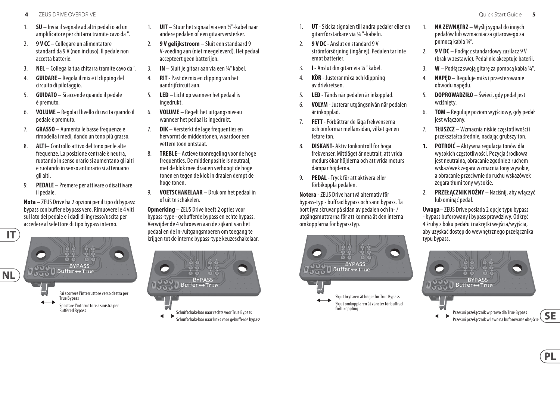- **4** ZEUS DRIVE OVERDRIVE Quick Start Guide **5**
- 1. **SU**  Invia il segnale ad altri pedali o ad un amplificatore per chitarra tramite cavo da ".
- 2. **9 V CC** Collegare un alimentatore standard da 9 V (non incluso). Il pedale non accetta batterie.
- 3. **NEL** Collega la tua chitarra tramite cavo da ".
- 4. **GUIDARE** Regola il mix e il clipping del circuito di pilotaggio.
- 5. **GUIDATO** Si accende quando il pedale è premuto.
- 6. **VOLUME** Regola il livello di uscita quando il pedale è premuto.
- 7. **GRASSO** Aumenta le basse frequenze e rimodella i medi, dando un tono più grasso.
- 8. **ALTI** Controllo attivo del tono per le alte frequenze. La posizione centrale è neutra, ruotando in senso orario si aumentano gli alti e ruotando in senso antiorario si attenuano gli alti.
- 9. **PEDALE**  Premere per attivare o disattivare il pedale.

**Nota** – ZEUS Drive ha 2 opzioni per il tipo di bypass: bypass con buffer e bypass vero. Rimuovere le 4 viti sul lato del pedale e i dadi di ingresso/uscita per accedere al selettore di tipo bypass interno.



- 1. **UIT**  Stuur het signaal via een ¼"-kabel naar andere pedalen of een gitaarversterker.
- 2. **9 V gelijkstroom**  Sluit een standaard 9 V-voeding aan (niet meegeleverd). Het pedaal accepteert geen batterijen.
- 3. **IN** Sluit je gitaar aan via een ¼" kabel.
- 4. **RIT** Past de mix en clipping van het aandriifcircuit aan.
- 5. **LED** Licht op wanneer het pedaal is ingedrukt.
- 6. **VOLUME** Regelt het uitgangsniveau wanneer het pedaal is ingedrukt.
- 7. **DIK** Versterkt de lage frequenties en hervormt de middentonen, waardoor een vettere toon ontstaat.
- 8. **TREBLE** Actieve toonregeling voor de hoge frequenties. De middenpositie is neutraal, met de klok mee draaien verhoogt de hoge tonen en tegen de klok in draaien dempt de hoge tonen.
- 9. **VOETSCHAKELAAR** Druk om het pedaal in of uit te schakelen.

**Opmerking** – ZEUS Drive heeft 2 opties voor bypass-type - gebufferde bypass en echte bypass. Verwijder de 4 schroeven aan de zijkant van het pedaal en de in-/uitgangsmoeren om toegang te krijgen tot de interne bypass-type keuzeschakelaar.



- 1. **UT** Skicka signalen till andra pedaler eller en gitarrförstärkare via ¼ "-kabeln.
- 2. **9 V DC** Anslut en standard 9 V strömförsörjning (ingår ej). Pedalen tar inte emot batterier.
- 3. **I** Anslut din gitarr via ¼ "kabel.
- 4. **KÖR** Justerar mixa och klippning av drivkretsen.
- 5. **LED** Tänds när pedalen är inkopplad.
- 6. **VOLYM** Justerar utgångsnivån när pedalen är inkopplad.
- 7. **FETT** Förbättrar de låga frekvenserna och omformar mellansidan, vilket ger en fetare ton.
- 8. **DISKANT** Aktiv tonkontroll för höga frekvenser. Mittläget är neutralt, att vrida medurs ökar höjderna och att vrida moturs dämpar höjderna.
- 9. **PEDAL** Tryck för att aktivera eller förbikoppla pedalen.

**Notera** - ZEUS Drive har två alternativ för bypass-typ - buffrad bypass och sann bypass. Ta bort fyra skruvar på sidan av pedalen och in- / utgångsmuttrarna för att komma åt den interna omkopplarna för bypasstyp.



- 1. **NA ZEWNĄTRZ** Wyślij sygnał do innych pedałów lub wzmacniacza gitarowego za pomocą kabla ¼".
- 2. **9 V DC** Podłącz standardowy zasilacz 9 V (brak w zestawie). Pedał nie akceptuje baterii.
- 3. **W** Podłącz swoją gitarę za pomocą kabla ¼".
- 4. **NAPĘD** Reguluje miks i przesterowanie obwodu napędu.
- 5. **DOPROWADZIŁO** Świeci, gdy pedał jest wciśnięty.
- 6. **TOM** Reguluje poziom wyjściowy, gdy pedał jest włączony.
- 7. **TŁUSZCZ** Wzmacnia niskie częstotliwości i przekształca średnie, nadając grubszy ton.
- **1. POTROIĆ**  Aktywna regulacja tonów dla wysokich częstotliwości. Pozycja środkowa jest neutralna, obracanie zgodnie z ruchem wskazówek zegara wzmacnia tony wysokie, a obracanie przeciwnie do ruchu wskazówek zegara tłumi tony wysokie.
- 2. **PRZEŁĄCZNIK NOŻNY** Naciśnij, aby włączyć lub ominąć pedał.

**Uwaga**– ZEUS Drive posiada 2 opcje typu bypass - bypass buforowany i bypass prawdziwy. Odkręć 4 śruby z boku pedału i nakrętki wejścia/wyjścia, aby uzyskać dostęp do wewnętrznego przełącznika typu bypass.



**SE** 

**PL**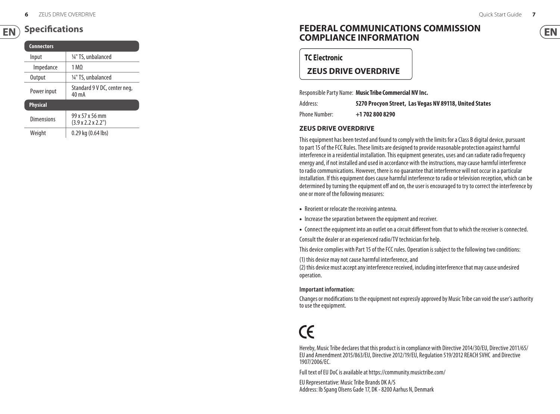#### **Specifications**  $EN$ )

| <b>Connectors</b> |                                                   |
|-------------------|---------------------------------------------------|
| Input             | 1/4" TS, unbalanced                               |
| Impedance         | 1 M <sub>O</sub>                                  |
| Output            | 1/4" TS, unbalanced                               |
| Power input       | Standard 9 V DC, center neg,<br>40 mA             |
| <b>Physical</b>   |                                                   |
| Dimensions        | 99 x 57 x 56 mm<br>$(3.9 \times 2.2 \times 2.2")$ |
| Weight            | 0.29 kg (0.64 lbs)                                |

## **FEDERAL COMMUNICATIONS COMMISSION COMPLIANCE INFORMATION**

**TC Electronic** 

## **ZEUS DRIVE OVERDRIVE**

Responsible Party Name: **Music Tribe Commercial NV Inc.**

Address: **5270 Procyon Street, Las Vegas NV 89118, United States**

Phone Number: **+1 702 800 8290**

#### **ZEUS DRIVE OVERDRIVE**

This equipment has been tested and found to comply with the limits for a Class B digital device, pursuant to part 15 of the FCC Rules. These limits are designed to provide reasonable protection against harmful interference in a residential installation. This equipment generates, uses and can radiate radio frequency energy and, if not installed and used in accordance with the instructions, may cause harmful interference to radio communications. However, there is no guarantee that interference will not occur in a particular installation. If this equipment does cause harmful interference to radio or television reception, which can be determined by turning the equipment off and on, the user is encouraged to try to correct the interference by one or more of the following measures:

- Reorient or relocate the receiving antenna.
- Increase the separation between the equipment and receiver.
- Connect the equipment into an outlet on a circuit different from that to which the receiver is connected. Consult the dealer or an experienced radio/TV technician for help.

This device complies with Part 15 of the FCC rules. Operation is subject to the following two conditions:

(1) this device may not cause harmful interference, and

(2) this device must accept any interference received, including interference that may cause undesired operation.

#### **Important information:**

Changes or modifications to the equipment not expressly approved by Music Tribe can void the user's authority to use the equipment.

# $\epsilon$

Hereby, Music Tribe declares that this product is in compliance with Directive 2014/30/EU, Directive 2011/65/ EU and Amendment 2015/863/EU, Directive 2012/19/EU, Regulation 519/2012 REACH SVHC and Directive 1907/2006/EC.

Full text of EU DoC is available at https://community.musictribe.com/

EU Representative: Music Tribe Brands DK A/S Address: Ib Spang Olsens Gade 17, DK - 8200 Aarhus N, Denmark